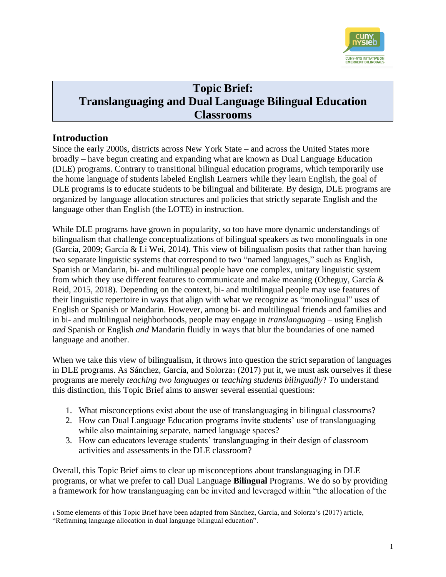

# **Topic Brief: Translanguaging and Dual Language Bilingual Education Classrooms**

#### **Introduction**

Since the early 2000s, districts across New York State – and across the United States more broadly – have begun creating and expanding what are known as Dual Language Education (DLE) programs. Contrary to transitional bilingual education programs, which temporarily use the home language of students labeled English Learners while they learn English, the goal of DLE programs is to educate students to be bilingual and biliterate. By design, DLE programs are organized by language allocation structures and policies that strictly separate English and the language other than English (the LOTE) in instruction.

While DLE programs have grown in popularity, so too have more dynamic understandings of bilingualism that challenge conceptualizations of bilingual speakers as two monolinguals in one (García, 2009; García & Li Wei, 2014). This view of bilingualism posits that rather than having two separate linguistic systems that correspond to two "named languages," such as English, Spanish or Mandarin, bi- and multilingual people have one complex, unitary linguistic system from which they use different features to communicate and make meaning (Otheguy, García & Reid, 2015, 2018). Depending on the context, bi- and multilingual people may use features of their linguistic repertoire in ways that align with what we recognize as "monolingual" uses of English or Spanish or Mandarin. However, among bi- and multilingual friends and families and in bi- and multilingual neighborhoods, people may engage in *translanguaging* – using English *and* Spanish or English *and* Mandarin fluidly in ways that blur the boundaries of one named language and another.

When we take this view of bilingualism, it throws into question the strict separation of languages in DLE programs. As Sánchez, García, and Solorza<sup>1</sup> (2017) put it, we must ask ourselves if these programs are merely *teaching two languages* or *teaching students bilingually*? To understand this distinction, this Topic Brief aims to answer several essential questions:

- 1. What misconceptions exist about the use of translanguaging in bilingual classrooms?
- 2. How can Dual Language Education programs invite students' use of translanguaging while also maintaining separate, named language spaces?
- 3. How can educators leverage students' translanguaging in their design of classroom activities and assessments in the DLE classroom?

Overall, this Topic Brief aims to clear up misconceptions about translanguaging in DLE programs, or what we prefer to call Dual Language **Bilingual** Programs. We do so by providing a framework for how translanguaging can be invited and leveraged within "the allocation of the

<sup>1</sup> Some elements of this Topic Brief have been adapted from Sánchez, García, and Solorza's (2017) article,

<sup>&</sup>quot;Reframing language allocation in dual language bilingual education".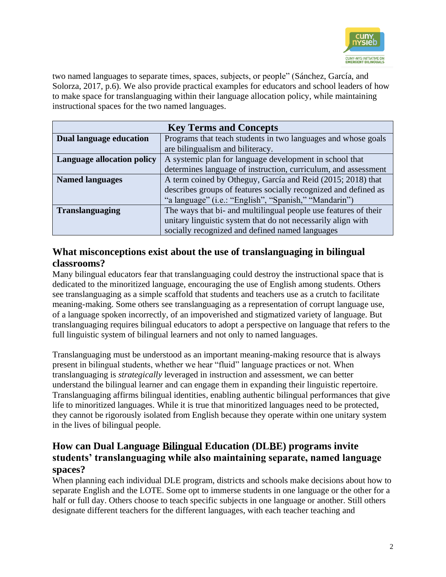

two named languages to separate times, spaces, subjects, or people" (Sánchez, García, and Solorza, 2017, p.6). We also provide practical examples for educators and school leaders of how to make space for translanguaging within their language allocation policy, while maintaining instructional spaces for the two named languages.

| <b>Key Terms and Concepts</b>     |                                                                 |  |
|-----------------------------------|-----------------------------------------------------------------|--|
| <b>Dual language education</b>    | Programs that teach students in two languages and whose goals   |  |
|                                   | are bilingualism and biliteracy.                                |  |
| <b>Language allocation policy</b> | A systemic plan for language development in school that         |  |
|                                   | determines language of instruction, curriculum, and assessment  |  |
| <b>Named languages</b>            | A term coined by Otheguy, García and Reid (2015; 2018) that     |  |
|                                   | describes groups of features socially recognized and defined as |  |
|                                   | "a language" (i.e.: "English", "Spanish," "Mandarin")           |  |
| <b>Translanguaging</b>            | The ways that bi- and multilingual people use features of their |  |
|                                   | unitary linguistic system that do not necessarily align with    |  |
|                                   | socially recognized and defined named languages                 |  |

#### **What misconceptions exist about the use of translanguaging in bilingual classrooms?**

Many bilingual educators fear that translanguaging could destroy the instructional space that is dedicated to the minoritized language, encouraging the use of English among students. Others see translanguaging as a simple scaffold that students and teachers use as a crutch to facilitate meaning-making. Some others see translanguaging as a representation of corrupt language use, of a language spoken incorrectly, of an impoverished and stigmatized variety of language. But translanguaging requires bilingual educators to adopt a perspective on language that refers to the full linguistic system of bilingual learners and not only to named languages.

Translanguaging must be understood as an important meaning-making resource that is always present in bilingual students, whether we hear "fluid" language practices or not. When translanguaging is *strategically* leveraged in instruction and assessment, we can better understand the bilingual learner and can engage them in expanding their linguistic repertoire. Translanguaging affirms bilingual identities, enabling authentic bilingual performances that give life to minoritized languages. While it is true that minoritized languages need to be protected, they cannot be rigorously isolated from English because they operate within one unitary system in the lives of bilingual people.

#### **How can Dual Language Bilingual Education (DLBE) programs invite students' translanguaging while also maintaining separate, named language spaces?**

When planning each individual DLE program, districts and schools make decisions about how to separate English and the LOTE. Some opt to immerse students in one language or the other for a half or full day. Others choose to teach specific subjects in one language or another. Still others designate different teachers for the different languages, with each teacher teaching and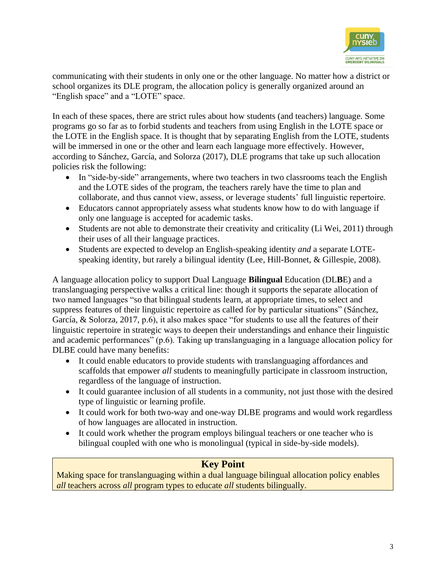

communicating with their students in only one or the other language. No matter how a district or school organizes its DLE program, the allocation policy is generally organized around an "English space" and a "LOTE" space.

In each of these spaces, there are strict rules about how students (and teachers) language. Some programs go so far as to forbid students and teachers from using English in the LOTE space or the LOTE in the English space. It is thought that by separating English from the LOTE, students will be immersed in one or the other and learn each language more effectively. However, according to Sánchez, García, and Solorza (2017), DLE programs that take up such allocation policies risk the following:

- In "side-by-side" arrangements, where two teachers in two classrooms teach the English and the LOTE sides of the program, the teachers rarely have the time to plan and collaborate, and thus cannot view, assess, or leverage students' full linguistic repertoire.
- Educators cannot appropriately assess what students know how to do with language if only one language is accepted for academic tasks.
- Students are not able to demonstrate their creativity and criticality (Li Wei, 2011) through their uses of all their language practices.
- Students are expected to develop an English-speaking identity *and* a separate LOTEspeaking identity, but rarely a bilingual identity (Lee, Hill-Bonnet, & Gillespie, 2008).

A language allocation policy to support Dual Language **Bilingual** Education (DL**B**E) and a translanguaging perspective walks a critical line: though it supports the separate allocation of two named languages "so that bilingual students learn, at appropriate times, to select and suppress features of their linguistic repertoire as called for by particular situations" (Sánchez, García,  $\&$  Solorza, 2017, p.6), it also makes space "for students to use all the features of their linguistic repertoire in strategic ways to deepen their understandings and enhance their linguistic and academic performances" (p.6). Taking up translanguaging in a language allocation policy for DLBE could have many benefits:

- It could enable educators to provide students with translanguaging affordances and scaffolds that empower *all* students to meaningfully participate in classroom instruction, regardless of the language of instruction.
- It could guarantee inclusion of all students in a community, not just those with the desired type of linguistic or learning profile.
- It could work for both two-way and one-way DLBE programs and would work regardless of how languages are allocated in instruction.
- It could work whether the program employs bilingual teachers or one teacher who is bilingual coupled with one who is monolingual (typical in side-by-side models).

## **Key Point**

Making space for translanguaging within a dual language bilingual allocation policy enables *all* teachers across *all* program types to educate *all* students bilingually.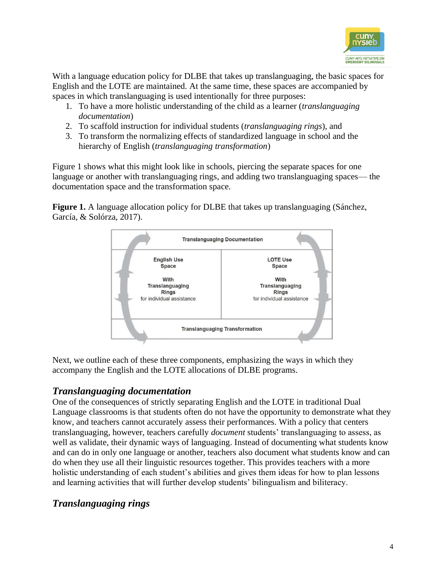

With a language education policy for DLBE that takes up translanguaging, the basic spaces for English and the LOTE are maintained. At the same time, these spaces are accompanied by spaces in which translanguaging is used intentionally for three purposes:

- 1. To have a more holistic understanding of the child as a learner (*translanguaging documentation*)
- 2. To scaffold instruction for individual students (*translanguaging rings*), and
- 3. To transform the normalizing effects of standardized language in school and the hierarchy of English (*translanguaging transformation*)

Figure 1 shows what this might look like in schools, piercing the separate spaces for one language or another with translanguaging rings, and adding two translanguaging spaces— the documentation space and the transformation space.

**Figure 1.** A language allocation policy for DLBE that takes up translanguaging (Sánchez, García, & Solórza, 2017).



Next, we outline each of these three components, emphasizing the ways in which they accompany the English and the LOTE allocations of DLBE programs.

## *Translanguaging documentation*

One of the consequences of strictly separating English and the LOTE in traditional Dual Language classrooms is that students often do not have the opportunity to demonstrate what they know, and teachers cannot accurately assess their performances. With a policy that centers translanguaging, however, teachers carefully *document* students' translanguaging to assess, as well as validate, their dynamic ways of languaging. Instead of documenting what students know and can do in only one language or another, teachers also document what students know and can do when they use all their linguistic resources together. This provides teachers with a more holistic understanding of each student's abilities and gives them ideas for how to plan lessons and learning activities that will further develop students' bilingualism and biliteracy.

## *Translanguaging rings*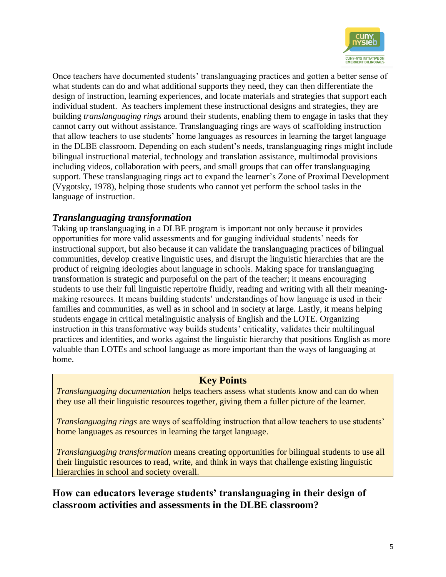

Once teachers have documented students' translanguaging practices and gotten a better sense of what students can do and what additional supports they need, they can then differentiate the design of instruction, learning experiences, and locate materials and strategies that support each individual student. As teachers implement these instructional designs and strategies, they are building *translanguaging rings* around their students, enabling them to engage in tasks that they cannot carry out without assistance. Translanguaging rings are ways of scaffolding instruction that allow teachers to use students' home languages as resources in learning the target language in the DLBE classroom. Depending on each student's needs, translanguaging rings might include bilingual instructional material, technology and translation assistance, multimodal provisions including videos, collaboration with peers, and small groups that can offer translanguaging support. These translanguaging rings act to expand the learner's Zone of Proximal Development (Vygotsky, 1978), helping those students who cannot yet perform the school tasks in the language of instruction.

#### *Translanguaging transformation*

Taking up translanguaging in a DLBE program is important not only because it provides opportunities for more valid assessments and for gauging individual students' needs for instructional support, but also because it can validate the translanguaging practices of bilingual communities, develop creative linguistic uses, and disrupt the linguistic hierarchies that are the product of reigning ideologies about language in schools. Making space for translanguaging transformation is strategic and purposeful on the part of the teacher; it means encouraging students to use their full linguistic repertoire fluidly, reading and writing with all their meaningmaking resources. It means building students' understandings of how language is used in their families and communities, as well as in school and in society at large. Lastly, it means helping students engage in critical metalinguistic analysis of English and the LOTE. Organizing instruction in this transformative way builds students' criticality, validates their multilingual practices and identities, and works against the linguistic hierarchy that positions English as more valuable than LOTEs and school language as more important than the ways of languaging at home.

#### **Key Points**

*Translanguaging documentation* helps teachers assess what students know and can do when they use all their linguistic resources together, giving them a fuller picture of the learner.

*Translanguaging rings* are ways of scaffolding instruction that allow teachers to use students' home languages as resources in learning the target language.

*Translanguaging transformation* means creating opportunities for bilingual students to use all their linguistic resources to read, write, and think in ways that challenge existing linguistic hierarchies in school and society overall.

**How can educators leverage students' translanguaging in their design of classroom activities and assessments in the DLBE classroom?**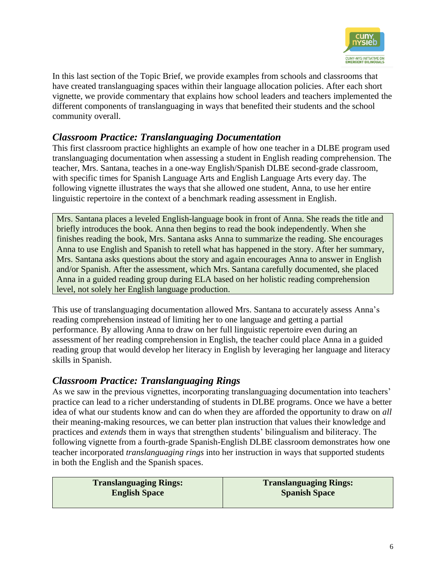

In this last section of the Topic Brief, we provide examples from schools and classrooms that have created translanguaging spaces within their language allocation policies. After each short vignette, we provide commentary that explains how school leaders and teachers implemented the different components of translanguaging in ways that benefited their students and the school community overall.

#### *Classroom Practice: Translanguaging Documentation*

This first classroom practice highlights an example of how one teacher in a DLBE program used translanguaging documentation when assessing a student in English reading comprehension. The teacher, Mrs. Santana, teaches in a one-way English/Spanish DLBE second-grade classroom, with specific times for Spanish Language Arts and English Language Arts every day. The following vignette illustrates the ways that she allowed one student, Anna, to use her entire linguistic repertoire in the context of a benchmark reading assessment in English.

Mrs. Santana places a leveled English-language book in front of Anna. She reads the title and briefly introduces the book. Anna then begins to read the book independently. When she finishes reading the book, Mrs. Santana asks Anna to summarize the reading. She encourages Anna to use English and Spanish to retell what has happened in the story. After her summary, Mrs. Santana asks questions about the story and again encourages Anna to answer in English and/or Spanish. After the assessment, which Mrs. Santana carefully documented, she placed Anna in a guided reading group during ELA based on her holistic reading comprehension level, not solely her English language production.

This use of translanguaging documentation allowed Mrs. Santana to accurately assess Anna's reading comprehension instead of limiting her to one language and getting a partial performance. By allowing Anna to draw on her full linguistic repertoire even during an assessment of her reading comprehension in English, the teacher could place Anna in a guided reading group that would develop her literacy in English by leveraging her language and literacy skills in Spanish.

#### *Classroom Practice: Translanguaging Rings*

As we saw in the previous vignettes, incorporating translanguaging documentation into teachers' practice can lead to a richer understanding of students in DLBE programs. Once we have a better idea of what our students know and can do when they are afforded the opportunity to draw on *all*  their meaning-making resources, we can better plan instruction that values their knowledge and practices and *extends* them in ways that strengthen students' bilingualism and biliteracy. The following vignette from a fourth-grade Spanish-English DLBE classroom demonstrates how one teacher incorporated *translanguaging rings* into her instruction in ways that supported students in both the English and the Spanish spaces.

| <b>Translanguaging Rings:</b> |  |
|-------------------------------|--|
| <b>English Space</b>          |  |

**Translanguaging Rings: Spanish Space**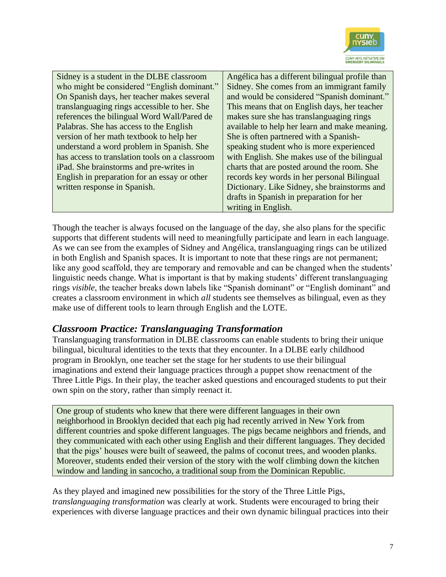

Sidney is a student in the DLBE classroom who might be considered "English dominant." On Spanish days, her teacher makes several translanguaging rings accessible to her. She references the bilingual Word Wall/Pared de Palabras. She has access to the English version of her math textbook to help her understand a word problem in Spanish. She has access to translation tools on a classroom iPad. She brainstorms and pre-writes in English in preparation for an essay or other written response in Spanish.

Angélica has a different bilingual profile than Sidney. She comes from an immigrant family and would be considered "Spanish dominant." This means that on English days, her teacher makes sure she has translanguaging rings available to help her learn and make meaning. She is often partnered with a Spanishspeaking student who is more experienced with English. She makes use of the bilingual charts that are posted around the room. She records key words in her personal Bilingual Dictionary. Like Sidney, she brainstorms and drafts in Spanish in preparation for her writing in English.

Though the teacher is always focused on the language of the day, she also plans for the specific supports that different students will need to meaningfully participate and learn in each language. As we can see from the examples of Sidney and Angélica, translanguaging rings can be utilized in both English and Spanish spaces. It is important to note that these rings are not permanent; like any good scaffold, they are temporary and removable and can be changed when the students' linguistic needs change. What is important is that by making students' different translanguaging rings *visible*, the teacher breaks down labels like "Spanish dominant" or "English dominant" and creates a classroom environment in which *all* students see themselves as bilingual, even as they make use of different tools to learn through English and the LOTE.

#### *Classroom Practice: Translanguaging Transformation*

Translanguaging transformation in DLBE classrooms can enable students to bring their unique bilingual, bicultural identities to the texts that they encounter. In a DLBE early childhood program in Brooklyn, one teacher set the stage for her students to use their bilingual imaginations and extend their language practices through a puppet show reenactment of the Three Little Pigs. In their play, the teacher asked questions and encouraged students to put their own spin on the story, rather than simply reenact it.

One group of students who knew that there were different languages in their own neighborhood in Brooklyn decided that each pig had recently arrived in New York from different countries and spoke different languages. The pigs became neighbors and friends, and they communicated with each other using English and their different languages. They decided that the pigs' houses were built of seaweed, the palms of coconut trees, and wooden planks. Moreover, students ended their version of the story with the wolf climbing down the kitchen window and landing in sancocho, a traditional soup from the Dominican Republic.

As they played and imagined new possibilities for the story of the Three Little Pigs, *translanguaging transformation* was clearly at work. Students were encouraged to bring their experiences with diverse language practices and their own dynamic bilingual practices into their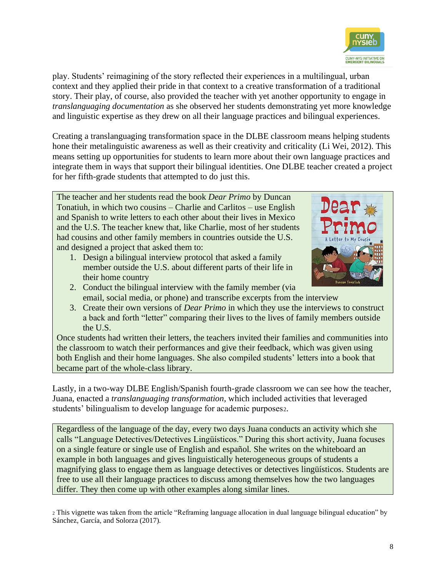

play. Students' reimagining of the story reflected their experiences in a multilingual, urban context and they applied their pride in that context to a creative transformation of a traditional story. Their play, of course, also provided the teacher with yet another opportunity to engage in *translanguaging documentation* as she observed her students demonstrating yet more knowledge and linguistic expertise as they drew on all their language practices and bilingual experiences.

Creating a translanguaging transformation space in the DLBE classroom means helping students hone their metalinguistic awareness as well as their creativity and criticality (Li Wei, 2012). This means setting up opportunities for students to learn more about their own language practices and integrate them in ways that support their bilingual identities. One DLBE teacher created a project for her fifth-grade students that attempted to do just this.

The teacher and her students read the book *Dear Primo* by Duncan Tonatiuh, in which two cousins – Charlie and Carlitos – use English and Spanish to write letters to each other about their lives in Mexico and the U.S. The teacher knew that, like Charlie, most of her students had cousins and other family members in countries outside the U.S. and designed a project that asked them to:

- 1. Design a bilingual interview protocol that asked a family member outside the U.S. about different parts of their life in their home country
- 
- 2. Conduct the bilingual interview with the family member (via email, social media, or phone) and transcribe excerpts from the interview
- 3. Create their own versions of *Dear Primo* in which they use the interviews to construct a back and forth "letter" comparing their lives to the lives of family members outside the U.S.

Once students had written their letters, the teachers invited their families and communities into the classroom to watch their performances and give their feedback, which was given using both English and their home languages. She also compiled students' letters into a book that became part of the whole-class library.

Lastly, in a two-way DLBE English/Spanish fourth-grade classroom we can see how the teacher, Juana, enacted a *translanguaging transformation,* which included activities that leveraged students' bilingualism to develop language for academic purposes2.

Regardless of the language of the day, every two days Juana conducts an activity which she calls "Language Detectives/Detectives Lingüísticos." During this short activity, Juana focuses on a single feature or single use of English and español*.* She writes on the whiteboard an example in both languages and gives linguistically heterogeneous groups of students a magnifying glass to engage them as language detectives or detectives lingüísticos. Students are free to use all their language practices to discuss among themselves how the two languages differ. They then come up with other examples along similar lines.

<sup>2</sup> This vignette was taken from the article "Reframing language allocation in dual language bilingual education" by Sánchez, García, and Solorza (2017).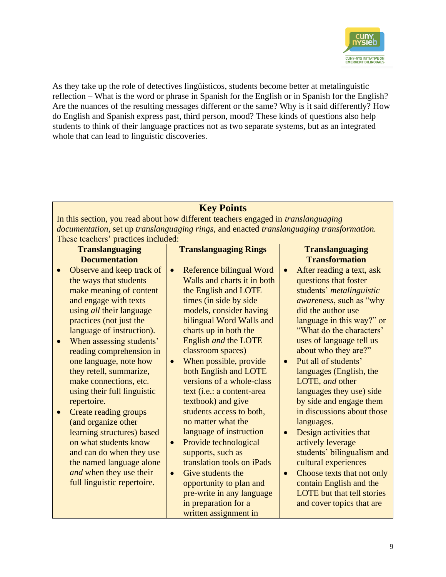

As they take up the role of detectives lingüísticos*,* students become better at metalinguistic reflection – What is the word or phrase in Spanish for the English or in Spanish for the English? Are the nuances of the resulting messages different or the same? Why is it said differently? How do English and Spanish express past, third person, mood? These kinds of questions also help students to think of their language practices not as two separate systems, but as an integrated whole that can lead to linguistic discoveries.

## **Key Points**

**Translanguaging Rings**

In this section, you read about how different teachers engaged in *translanguaging documentation*, set up *translanguaging rings*, and enacted *translanguaging transformation.* These teachers' practices included:

#### **Translanguaging Documentation**

#### • Observe and keep track of the ways that students make meaning of content and engage with texts using *all* their language practices (not just the language of instruction).

- When assessing students' reading comprehension in one language, note how they retell, summarize, make connections, etc. using their full linguistic repertoire.
- Create reading groups (and organize other learning structures) based on what students know and can do when they use the named language alone *and* when they use their full linguistic repertoire.

Reference bilingual Word Walls and charts it in both the English and LOTE times (in side by side models, consider having bilingual Word Walls and charts up in both the English *and* the LOTE classroom spaces)

- When possible, provide both English and LOTE versions of a whole-class text (i.e.: a content-area textbook) and give students access to both, no matter what the language of instruction
- Provide technological supports, such as translation tools on iPads
- Give students the opportunity to plan and pre-write in any language in preparation for a written assignment in

#### **Translanguaging Transformation**

- After reading a text, ask questions that foster students' *metalinguistic awareness*, such as "why did the author use language in this way?" or "What do the characters' uses of language tell us about who they are?"
- Put all of students' languages (English, the LOTE, *and* other languages they use) side by side and engage them in discussions about those languages.
- Design activities that actively leverage students' bilingualism and cultural experiences
- Choose texts that not only contain English and the LOTE but that tell stories and cover topics that are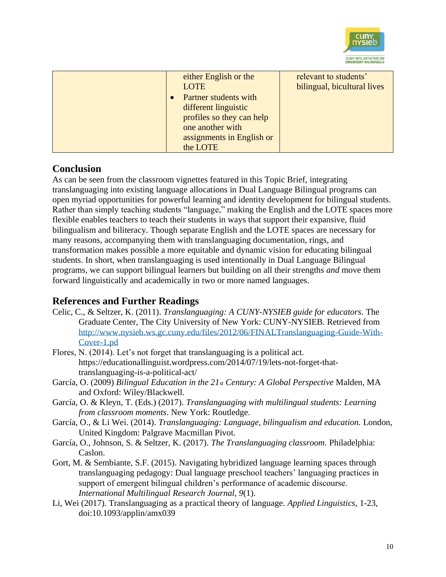

| either English or the<br>LOTE | relevant to students'<br>bilingual, bicultural lives |
|-------------------------------|------------------------------------------------------|
| Partner students with         |                                                      |
| different linguistic          |                                                      |
| profiles so they can help     |                                                      |
| one another with              |                                                      |
| assignments in English or     |                                                      |
| the LOTE                      |                                                      |

#### **Conclusion**

As can be seen from the classroom vignettes featured in this Topic Brief, integrating translanguaging into existing language allocations in Dual Language Bilingual programs can open myriad opportunities for powerful learning and identity development for bilingual students. Rather than simply teaching students "language," making the English and the LOTE spaces more flexible enables teachers to teach their students in ways that support their expansive, fluid bilingualism and biliteracy. Though separate English and the LOTE spaces are necessary for many reasons, accompanying them with translanguaging documentation, rings, and transformation makes possible a more equitable and dynamic vision for educating bilingual students. In short, when translanguaging is used intentionally in Dual Language Bilingual programs, we can support bilingual learners but building on all their strengths *and* move them forward linguistically and academically in two or more named languages.

#### **References and Further Readings**

- Celic, C., & Seltzer, K. (2011). *Translanguaging: A CUNY-NYSIEB guide for educators*. The Graduate Center, The City University of New York: CUNY-NYSIEB. Retrieved from [http://www.nysieb.ws.gc.cuny.edu/files/2012/06/FINALTranslanguaging-Guide-With-](http://www.nysieb.ws.gc.cuny.edu/files/2012/06/FINALTranslanguaging-Guide-With-Cover-1.pd)[Cover-1.pd](http://www.nysieb.ws.gc.cuny.edu/files/2012/06/FINALTranslanguaging-Guide-With-Cover-1.pd)
- Flores, N. (2014). Let's not forget that translanguaging is a political act. https://educationallinguist.wordpress.com/2014/07/19/lets-not-forget-thattranslanguaging-is-a-political-act/
- García, O. (2009) *Bilingual Education in the 21st Century: A Global Perspective* Malden, MA and Oxford: Wiley/Blackwell.
- García, O. & Kleyn, T. (Eds.) (2017). *Translanguaging with multilingual students: Learning from classroom moments*. New York: Routledge.
- García, O., & Li Wei. (2014). *Translanguaging: Language, bilingualism and education.* London, United Kingdom: Palgrave Macmillan Pivot.
- García, O., Johnson, S. & Seltzer, K. (2017). *The Translanguaging classroom.* Philadelphia: Caslon.
- Gort, M. & Sembiante, S.F. (2015). Navigating hybridized language learning spaces through translanguaging pedagogy: Dual language preschool teachers' languaging practices in support of emergent bilingual children's performance of academic discourse. *International Multilingual Research Journal, 9*(1).
- Li, Wei (2017). Translanguaging as a practical theory of language. *Applied Linguistics,* 1-23, doi:10.1093/applin/amx039